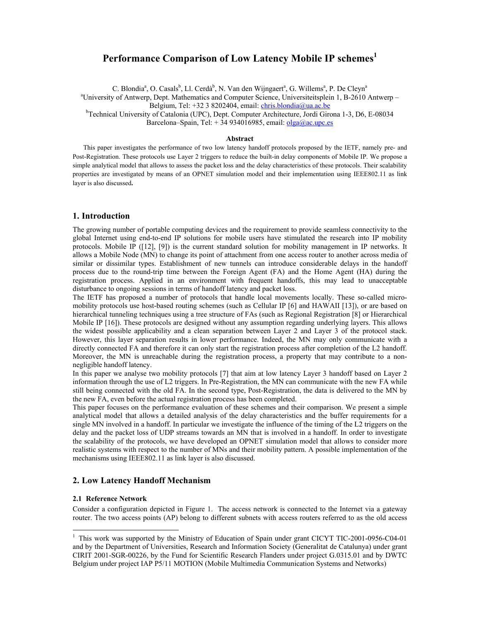# **Performance Comparison of Low Latency Mobile IP schemes<sup>1</sup>**

C. Blondia<sup>a</sup>, O. Casals<sup>b</sup>, Ll. Cerdà<sup>b</sup>, N. Van den Wijngaert<sup>a</sup>, G. Willems<sup>a</sup>, P. De Cleyn<sup>a</sup> <sup>a</sup> University of Antwerp, Dept. Mathematics and Computer Science, Universiteitsplein 1, B-2610 Antwerp – Belgium, Tel: +32 3 8202404, email: chris.blondia@ua.ac.be

<sup>b</sup>Technical University of Catalonia (UPC), Dept. Computer Architecture, Jordi Girona 1-3, D6, E-08034

Barcelona–Spain, Tel:  $+34934016985$ , email: olga@ac.upc.es

#### **Abstract**

This paper investigates the performance of two low latency handoff protocols proposed by the IETF, namely pre- and Post-Registration. These protocols use Layer 2 triggers to reduce the built-in delay components of Mobile IP. We propose a simple analytical model that allows to assess the packet loss and the delay characteristics of these protocols. Their scalability properties are investigated by means of an OPNET simulation model and their implementation using IEEE802.11 as link layer is also discussed**.** 

### **1. Introduction**

The growing number of portable computing devices and the requirement to provide seamless connectivity to the global Internet using end-to-end IP solutions for mobile users have stimulated the research into IP mobility protocols. Mobile IP ([12], [9]) is the current standard solution for mobility management in IP networks. It allows a Mobile Node (MN) to change its point of attachment from one access router to another across media of similar or dissimilar types. Establishment of new tunnels can introduce considerable delays in the handoff process due to the round-trip time between the Foreign Agent (FA) and the Home Agent (HA) during the registration process. Applied in an environment with frequent handoffs, this may lead to unacceptable disturbance to ongoing sessions in terms of handoff latency and packet loss.

The IETF has proposed a number of protocols that handle local movements locally. These so-called micromobility protocols use host-based routing schemes (such as Cellular IP [6] and HAWAII [13]), or are based on hierarchical tunneling techniques using a tree structure of FAs (such as Regional Registration [8] or Hierarchical Mobile IP [16]). These protocols are designed without any assumption regarding underlying layers. This allows the widest possible applicability and a clean separation between Layer 2 and Layer 3 of the protocol stack. However, this layer separation results in lower performance. Indeed, the MN may only communicate with a directly connected FA and therefore it can only start the registration process after completion of the L2 handoff. Moreover, the MN is unreachable during the registration process, a property that may contribute to a nonnegligible handoff latency.

In this paper we analyse two mobility protocols [7] that aim at low latency Layer 3 handoff based on Layer 2 information through the use of L2 triggers. In Pre-Registration, the MN can communicate with the new FA while still being connected with the old FA. In the second type, Post-Registration, the data is delivered to the MN by the new FA, even before the actual registration process has been completed.

This paper focuses on the performance evaluation of these schemes and their comparison. We present a simple analytical model that allows a detailed analysis of the delay characteristics and the buffer requirements for a single MN involved in a handoff. In particular we investigate the influence of the timing of the L2 triggers on the delay and the packet loss of UDP streams towards an MN that is involved in a handoff. In order to investigate the scalability of the protocols, we have developed an OPNET simulation model that allows to consider more realistic systems with respect to the number of MNs and their mobility pattern. A possible implementation of the mechanisms using IEEE802.11 as link layer is also discussed.

# **2. Low Latency Handoff Mechanism**

### **2.1 Reference Network**

 $\overline{a}$ 

Consider a configuration depicted in Figure 1. The access network is connected to the Internet via a gateway router. The two access points (AP) belong to different subnets with access routers referred to as the old access

<sup>&</sup>lt;sup>1</sup> This work was supported by the Ministry of Education of Spain under grant CICYT TIC-2001-0956-C04-01 and by the Department of Universities, Research and Information Society (Generalitat de Catalunya) under grant CIRIT 2001-SGR-00226, by the Fund for Scientific Research Flanders under project G.0315.01 and by DWTC Belgium under project IAP P5/11 MOTION (Mobile Multimedia Communication Systems and Networks)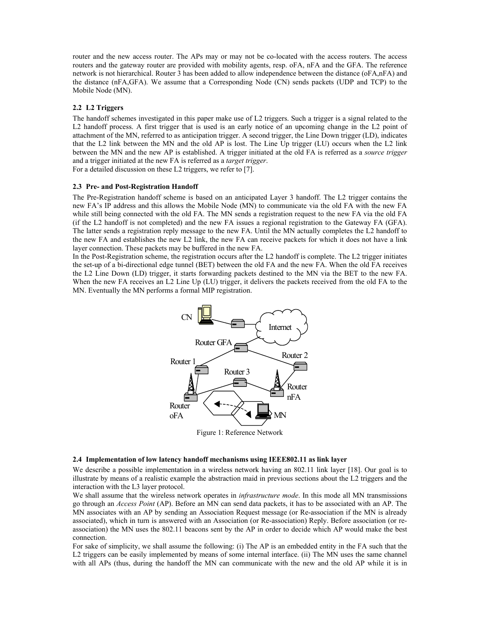router and the new access router. The APs may or may not be co-located with the access routers. The access routers and the gateway router are provided with mobility agents, resp. oFA, nFA and the GFA. The reference network is not hierarchical. Router 3 has been added to allow independence between the distance (oFA,nFA) and the distance (nFA,GFA). We assume that a Corresponding Node (CN) sends packets (UDP and TCP) to the Mobile Node (MN).

## **2.2 L2 Triggers**

The handoff schemes investigated in this paper make use of L2 triggers. Such a trigger is a signal related to the L2 handoff process. A first trigger that is used is an early notice of an upcoming change in the L2 point of attachment of the MN, referred to as anticipation trigger. A second trigger, the Line Down trigger (LD), indicates that the L2 link between the MN and the old AP is lost. The Line Up trigger (LU) occurs when the L2 link between the MN and the new AP is established. A trigger initiated at the old FA is referred as a *source trigger* and a trigger initiated at the new FA is referred as a *target trigger*.

For a detailed discussion on these L2 triggers, we refer to [7].

#### **2.3 Pre- and Post-Registration Handoff**

The Pre-Registration handoff scheme is based on an anticipated Layer 3 handoff. The L2 trigger contains the new FA's IP address and this allows the Mobile Node (MN) to communicate via the old FA with the new FA while still being connected with the old FA. The MN sends a registration request to the new FA via the old FA (if the L2 handoff is not completed) and the new FA issues a regional registration to the Gateway FA (GFA). The latter sends a registration reply message to the new FA. Until the MN actually completes the L2 handoff to the new FA and establishes the new L2 link, the new FA can receive packets for which it does not have a link layer connection. These packets may be buffered in the new FA.

In the Post-Registration scheme, the registration occurs after the L2 handoff is complete. The L2 trigger initiates the set-up of a bi-directional edge tunnel (BET) between the old FA and the new FA. When the old FA receives the L2 Line Down (LD) trigger, it starts forwarding packets destined to the MN via the BET to the new FA. When the new FA receives an L2 Line Up (LU) trigger, it delivers the packets received from the old FA to the MN. Eventually the MN performs a formal MIP registration.



Figure 1: Reference Network

### **2.4 Implementation of low latency handoff mechanisms using IEEE802.11 as link layer**

We describe a possible implementation in a wireless network having an 802.11 link layer [18]. Our goal is to illustrate by means of a realistic example the abstraction maid in previous sections about the L2 triggers and the interaction with the L3 layer protocol.

We shall assume that the wireless network operates in *infrastructure mode*. In this mode all MN transmissions go through an *Access Point* (AP). Before an MN can send data packets, it has to be associated with an AP. The MN associates with an AP by sending an Association Request message (or Re-association if the MN is already associated), which in turn is answered with an Association (or Re-association) Reply. Before association (or reassociation) the MN uses the 802.11 beacons sent by the AP in order to decide which AP would make the best connection.

For sake of simplicity, we shall assume the following: (i) The AP is an embedded entity in the FA such that the L2 triggers can be easily implemented by means of some internal interface. (ii) The MN uses the same channel with all APs (thus, during the handoff the MN can communicate with the new and the old AP while it is in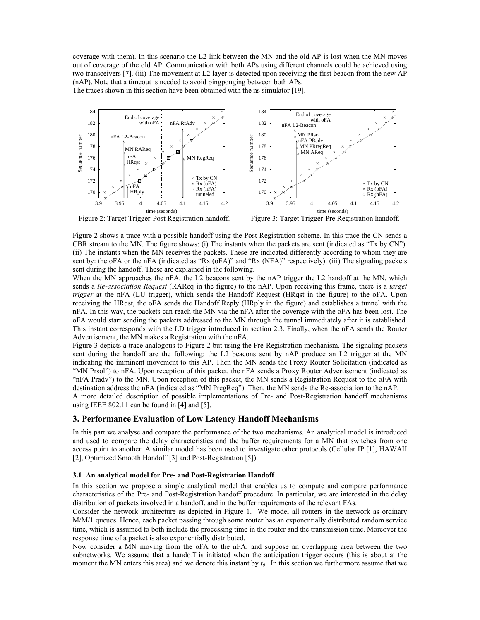coverage with them). In this scenario the L2 link between the MN and the old AP is lost when the MN moves out of coverage of the old AP. Communication with both APs using different channels could be achieved using two transceivers [7]. (iii) The movement at L2 layer is detected upon receiving the first beacon from the new AP (nAP). Note that a timeout is needed to avoid pingponging between both APs.

The traces shown in this section have been obtained with the ns simulator [19].



Figure 2: Target Trigger-Post Registration handoff.

Figure 3: Target Trigger-Pre Registration handoff.

Figure 2 shows a trace with a possible handoff using the Post-Registration scheme. In this trace the CN sends a CBR stream to the MN. The figure shows: (i) The instants when the packets are sent (indicated as "Tx by CN"). (ii) The instants when the MN receives the packets. These are indicated differently according to whom they are sent by: the oFA or the nFA (indicated as "Rx (oFA)" and "Rx (NFA)" respectively). (iii) The signaling packets sent during the handoff. These are explained in the following.

When the MN approaches the nFA, the L2 beacons sent by the nAP trigger the L2 handoff at the MN, which sends a *Re-association Request* (RAReq in the figure) to the nAP. Upon receiving this frame, there is a *target trigger* at the nFA (LU trigger), which sends the Handoff Request (HRqst in the figure) to the oFA. Upon receiving the HRqst, the oFA sends the Handoff Reply (HRply in the figure) and establishes a tunnel with the nFA. In this way, the packets can reach the MN via the nFA after the coverage with the oFA has been lost. The oFA would start sending the packets addressed to the MN through the tunnel immediately after it is established. This instant corresponds with the LD trigger introduced in section 2.3. Finally, when the nFA sends the Router Advertisement, the MN makes a Registration with the nFA.

Figure 3 depicts a trace analogous to Figure 2 but using the Pre-Registration mechanism. The signaling packets sent during the handoff are the following: the L2 beacons sent by nAP produce an L2 trigger at the MN indicating the imminent movement to this AP. Then the MN sends the Proxy Router Solicitation (indicated as "MN Prsol") to nFA. Upon reception of this packet, the nFA sends a Proxy Router Advertisement (indicated as "nFA Pradv") to the MN. Upon reception of this packet, the MN sends a Registration Request to the oFA with destination address the nFA (indicated as "MN PregReq"). Then, the MN sends the Re-association to the nAP. A more detailed description of possible implementations of Pre- and Post-Registration handoff mechanisms

using IEEE 802.11 can be found in [4] and [5].

### **3. Performance Evaluation of Low Latency Handoff Mechanisms**

In this part we analyse and compare the performance of the two mechanisms. An analytical model is introduced and used to compare the delay characteristics and the buffer requirements for a MN that switches from one access point to another. A similar model has been used to investigate other protocols (Cellular IP [1], HAWAII [2], Optimized Smooth Handoff [3] and Post-Registration [5]).

#### **3.1 An analytical model for Pre- and Post-Registration Handoff**

In this section we propose a simple analytical model that enables us to compute and compare performance characteristics of the Pre- and Post-Registration handoff procedure. In particular, we are interested in the delay distribution of packets involved in a handoff, and in the buffer requirements of the relevant FAs.

Consider the network architecture as depicted in Figure 1. We model all routers in the network as ordinary M/M/1 queues. Hence, each packet passing through some router has an exponentially distributed random service time, which is assumed to both include the processing time in the router and the transmission time. Moreover the response time of a packet is also exponentially distributed.

Now consider a MN moving from the oFA to the nFA, and suppose an overlapping area between the two subnetworks. We assume that a handoff is initiated when the anticipation trigger occurs (this is about at the moment the MN enters this area) and we denote this instant by  $t_0$ . In this section we furthermore assume that we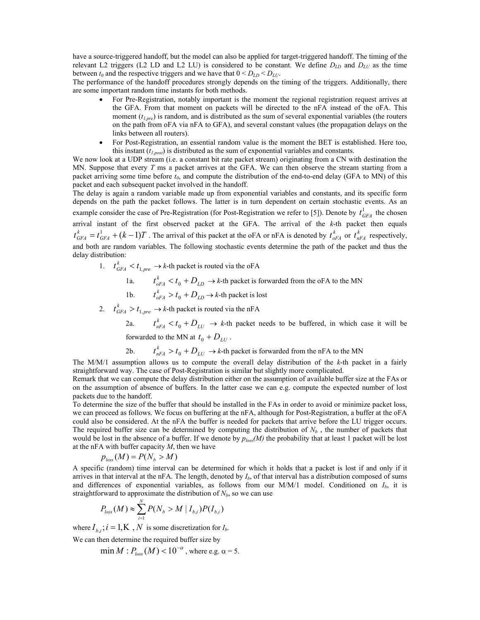have a source-triggered handoff, but the model can also be applied for target-triggered handoff. The timing of the relevant L2 triggers (L2 LD and L2 LU) is considered to be constant. We define *DLD* and *DLU* as the time between  $t_0$  and the respective triggers and we have that  $0 < D_{LD} < D_{LU}$ .

The performance of the handoff procedures strongly depends on the timing of the triggers. Additionally, there are some important random time instants for both methods.

- For Pre-Registration, notably important is the moment the regional registration request arrives at the GFA. From that moment on packets will be directed to the nFA instead of the oFA. This moment ( $t_{1,pre}$ ) is random, and is distributed as the sum of several exponential variables (the routers on the path from oFA via nFA to GFA), and several constant values (the propagation delays on the links between all routers).
- For Post-Registration, an essential random value is the moment the BET is established. Here too, this instant  $(t_{l,post})$  is distributed as the sum of exponential variables and constants.

We now look at a UDP stream (i.e. a constant bit rate packet stream) originating from a CN with destination the MN. Suppose that every *T* ms a packet arrives at the GFA. We can then observe the stream starting from a packet arriving some time before  $t_0$ , and compute the distribution of the end-to-end delay (GFA to MN) of this packet and each subsequent packet involved in the handoff.

The delay is again a random variable made up from exponential variables and constants, and its specific form depends on the path the packet follows. The latter is in turn dependent on certain stochastic events. As an example consider the case of Pre-Registration (for Post-Registration we refer to [5]). Denote by  $t_{GFA}^1$  the chosen arrival instant of the first observed packet at the GFA. The arrival of the *k*-th packet then equals  $t_{GFA}^k = t_{GFA}^1 + (k-1)T$ . The arrival of this packet at the oFA or nFA is denoted by  $t_{oFA}^k$  or  $t_{nFA}^k$  respectively, and both are random variables. The following stochastic events determine the path of the packet and thus the delay distribution:

1.  $t_{GFA}^k < t_{1,pre} \rightarrow k$ -th packet is routed via the oFA

1a.  $t_{oFA}^k < t_0 + D_{LD} \rightarrow k$ -th packet is forwarded from the oFA to the MN

- 1b.  $t_{oFA}^k > t_0 + D_{LD} \rightarrow k$ -th packet is lost
	- 2.  $t_{GFA}^k > t_{1,pre} \rightarrow k$ -th packet is routed via the nFA

2a.  $t_{nFA}^k < t_0 + D_{LU} \rightarrow k$ -th packet needs to be buffered, in which case it will be forwarded to the MN at  $t_0 + D_{UU}$ .

2b.  $t_{nFA}^k > t_0 + D_{LU} \rightarrow k$ -th packet is forwarded from the nFA to the MN

The M/M/1 assumption allows us to compute the overall delay distribution of the *k*-th packet in a fairly straightforward way. The case of Post-Registration is similar but slightly more complicated.

Remark that we can compute the delay distribution either on the assumption of available buffer size at the FAs or on the assumption of absence of buffers. In the latter case we can e.g. compute the expected number of lost packets due to the handoff.

To determine the size of the buffer that should be installed in the FAs in order to avoid or minimize packet loss, we can proceed as follows. We focus on buffering at the nFA, although for Post-Registration, a buffer at the oFA could also be considered. At the nFA the buffer is needed for packets that arrive before the LU trigger occurs. The required buffer size can be determined by computing the distribution of  $N_b$ , the number of packets that would be lost in the absence of a buffer. If we denote by  $p_{loss}(M)$  the probability that at least 1 packet will be lost at the nFA with buffer capacity *M*, then we have

$$
p_{\text{loss}}(M) = P(N_b > M)
$$

A specific (random) time interval can be determined for which it holds that a packet is lost if and only if it arrives in that interval at the nFA. The length, denoted by  $I_b$ , of that interval has a distribution composed of sums and differences of exponential variables, as follows from our M/M/1 model. Conditioned on *Ib*, it is straightforward to approximate the distribution of  $N_b$ , so we can use

$$
P_{loss}(M) \approx \sum_{i=1}^{N} P(N_b > M \mid I_{b,i}) P(I_{b,i})
$$

where  $I_{b,i}$ ;  $i = 1, K, N$  is some discretization for  $I_{b,i}$ .

We can then determine the required buffer size by

 $\min M$  :  $P_{loss}(M) < 10^{-\alpha}$ , where e.g.  $\alpha = 5$ .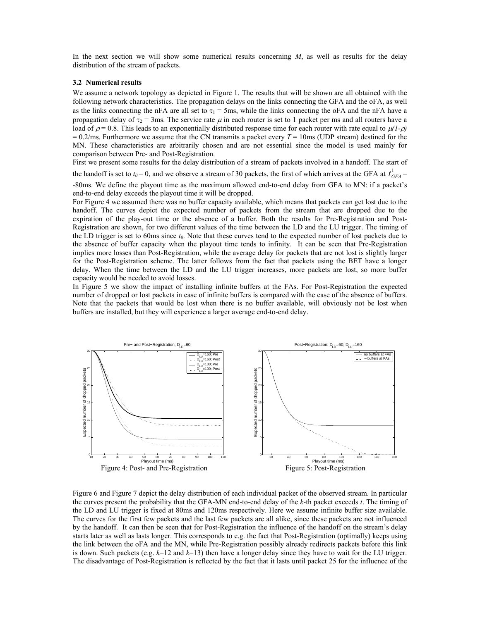In the next section we will show some numerical results concerning *M*, as well as results for the delay distribution of the stream of packets.

#### **3.2 Numerical results**

We assume a network topology as depicted in Figure 1. The results that will be shown are all obtained with the following network characteristics. The propagation delays on the links connecting the GFA and the oFA, as well as the links connecting the nFA are all set to  $\tau_1 = 5$ ms, while the links connecting the oFA and the nFA have a propagation delay of  $\tau_2$  = 3ms. The service rate  $\mu$  in each router is set to 1 packet per ms and all routers have a load of  $\rho = 0.8$ . This leads to an exponentially distributed response time for each router with rate equal to  $\mu(I-\rho)$  $= 0.2$ /ms. Furthermore we assume that the CN transmits a packet every  $T = 10$ ms (UDP stream) destined for the MN. These characteristics are arbitrarily chosen and are not essential since the model is used mainly for comparison between Pre- and Post-Registration.

First we present some results for the delay distribution of a stream of packets involved in a handoff. The start of

the handoff is set to  $t_0 = 0$ , and we observe a stream of 30 packets, the first of which arrives at the GFA at  $t_{GFA}^1$ 

-80ms. We define the playout time as the maximum allowed end-to-end delay from GFA to MN: if a packet's end-to-end delay exceeds the playout time it will be dropped.

For Figure 4 we assumed there was no buffer capacity available, which means that packets can get lost due to the handoff. The curves depict the expected number of packets from the stream that are dropped due to the expiration of the play-out time or the absence of a buffer. Both the results for Pre-Registration and Post-Registration are shown, for two different values of the time between the LD and the LU trigger. The timing of the LD trigger is set to 60ms since  $t_0$ . Note that these curves tend to the expected number of lost packets due to the absence of buffer capacity when the playout time tends to infinity. It can be seen that Pre-Registration implies more losses than Post-Registration, while the average delay for packets that are not lost is slightly larger for the Post-Registration scheme. The latter follows from the fact that packets using the BET have a longer delay. When the time between the LD and the LU trigger increases, more packets are lost, so more buffer capacity would be needed to avoid losses.

In Figure 5 we show the impact of installing infinite buffers at the FAs. For Post-Registration the expected number of dropped or lost packets in case of infinite buffers is compared with the case of the absence of buffers. Note that the packets that would be lost when there is no buffer available, will obviously not be lost when buffers are installed, but they will experience a larger average end-to-end delay.



Figure 6 and Figure 7 depict the delay distribution of each individual packet of the observed stream. In particular the curves present the probability that the GFA-MN end-to-end delay of the *k*-th packet exceeds *t*. The timing of the LD and LU trigger is fixed at 80ms and 120ms respectively. Here we assume infinite buffer size available. The curves for the first few packets and the last few packets are all alike, since these packets are not influenced by the handoff. It can then be seen that for Post-Registration the influence of the handoff on the stream's delay starts later as well as lasts longer. This corresponds to e.g. the fact that Post-Registration (optimally) keeps using the link between the oFA and the MN, while Pre-Registration possibly already redirects packets before this link is down. Such packets (e.g.  $k=12$  and  $k=13$ ) then have a longer delay since they have to wait for the LU trigger. The disadvantage of Post-Registration is reflected by the fact that it lasts until packet 25 for the influence of the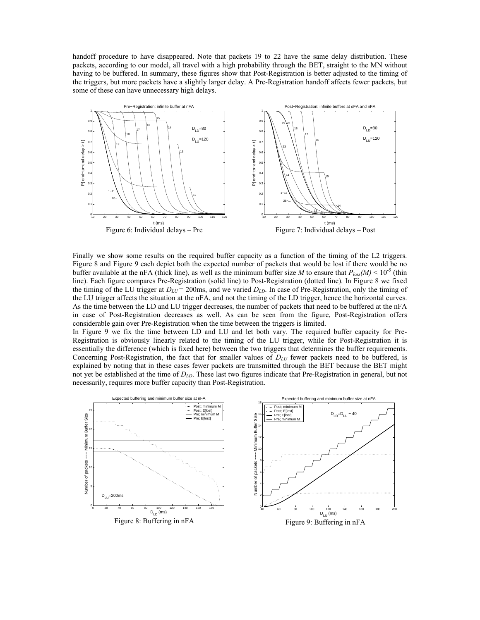handoff procedure to have disappeared. Note that packets 19 to 22 have the same delay distribution. These packets, according to our model, all travel with a high probability through the BET, straight to the MN without having to be buffered. In summary, these figures show that Post-Registration is better adjusted to the timing of the triggers, but more packets have a slightly larger delay. A Pre-Registration handoff affects fewer packets, but some of these can have unnecessary high delays.



Finally we show some results on the required buffer capacity as a function of the timing of the L2 triggers. Figure 8 and Figure 9 each depict both the expected number of packets that would be lost if there would be no buffer available at the nFA (thick line), as well as the minimum buffer size *M* to ensure that  $P_{loss}(M) \le 10^{-5}$  (thin line). Each figure compares Pre-Registration (solid line) to Post-Registration (dotted line). In Figure 8 we fixed the timing of the LU trigger at  $D_{LU}$  = 200ms, and we varied  $D_{LD}$ . In case of Pre-Registration, only the timing of the LU trigger affects the situation at the nFA, and not the timing of the LD trigger, hence the horizontal curves. As the time between the LD and LU trigger decreases, the number of packets that need to be buffered at the nFA in case of Post-Registration decreases as well. As can be seen from the figure, Post-Registration offers considerable gain over Pre-Registration when the time between the triggers is limited.

In Figure 9 we fix the time between LD and LU and let both vary. The required buffer capacity for Pre-Registration is obviously linearly related to the timing of the LU trigger, while for Post-Registration it is essentially the difference (which is fixed here) between the two triggers that determines the buffer requirements. Concerning Post-Registration, the fact that for smaller values of *DLU* fewer packets need to be buffered, is explained by noting that in these cases fewer packets are transmitted through the BET because the BET might not yet be established at the time of *DLD*. These last two figures indicate that Pre-Registration in general, but not necessarily, requires more buffer capacity than Post-Registration.

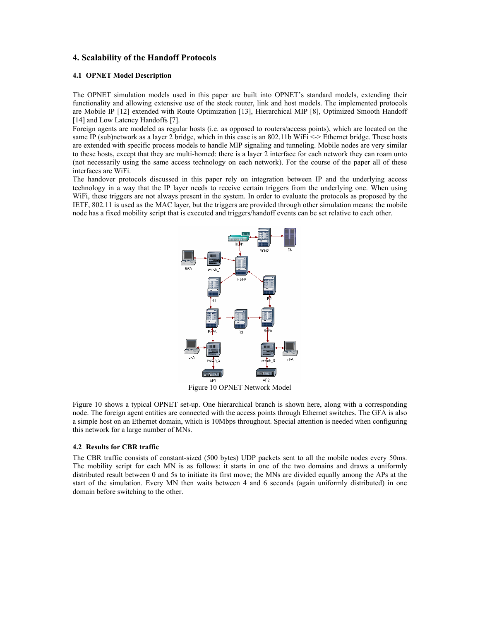# **4. Scalability of the Handoff Protocols**

### **4.1 OPNET Model Description**

The OPNET simulation models used in this paper are built into OPNET's standard models, extending their functionality and allowing extensive use of the stock router, link and host models. The implemented protocols are Mobile IP [12] extended with Route Optimization [13], Hierarchical MIP [8], Optimized Smooth Handoff [14] and Low Latency Handoffs [7].

Foreign agents are modeled as regular hosts (i.e. as opposed to routers/access points), which are located on the same IP (sub)network as a layer 2 bridge, which in this case is an 802.11b WiFi <-> Ethernet bridge. These hosts are extended with specific process models to handle MIP signaling and tunneling. Mobile nodes are very similar to these hosts, except that they are multi-homed: there is a layer 2 interface for each network they can roam unto (not necessarily using the same access technology on each network). For the course of the paper all of these interfaces are WiFi.

The handover protocols discussed in this paper rely on integration between IP and the underlying access technology in a way that the IP layer needs to receive certain triggers from the underlying one. When using WiFi, these triggers are not always present in the system. In order to evaluate the protocols as proposed by the IETF, 802.11 is used as the MAC layer, but the triggers are provided through other simulation means: the mobile node has a fixed mobility script that is executed and triggers/handoff events can be set relative to each other.



Figure 10 OPNET Network Model

Figure 10 shows a typical OPNET set-up. One hierarchical branch is shown here, along with a corresponding node. The foreign agent entities are connected with the access points through Ethernet switches. The GFA is also a simple host on an Ethernet domain, which is 10Mbps throughout. Special attention is needed when configuring this network for a large number of MNs.

#### **4.2 Results for CBR traffic**

The CBR traffic consists of constant-sized (500 bytes) UDP packets sent to all the mobile nodes every 50ms. The mobility script for each MN is as follows: it starts in one of the two domains and draws a uniformly distributed result between 0 and 5s to initiate its first move; the MNs are divided equally among the APs at the start of the simulation. Every MN then waits between 4 and 6 seconds (again uniformly distributed) in one domain before switching to the other.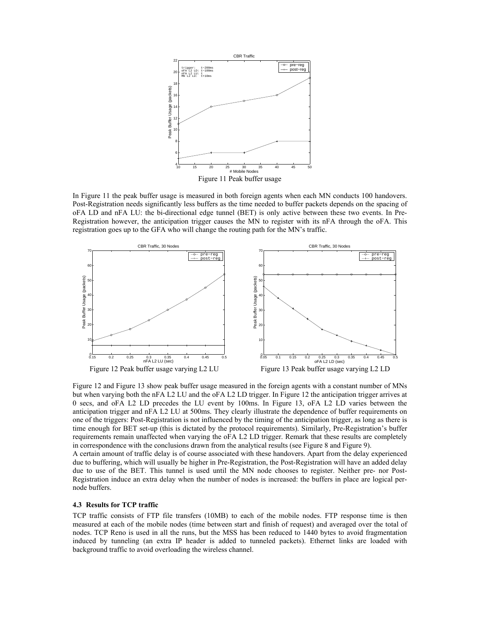

In Figure 11 the peak buffer usage is measured in both foreign agents when each MN conducts 100 handovers. Post-Registration needs significantly less buffers as the time needed to buffer packets depends on the spacing of oFA LD and nFA LU: the bi-directional edge tunnel (BET) is only active between these two events. In Pre-Registration however, the anticipation trigger causes the MN to register with its nFA through the oFA. This registration goes up to the GFA who will change the routing path for the MN's traffic.



Figure 12 and Figure 13 show peak buffer usage measured in the foreign agents with a constant number of MNs but when varying both the nFA L2 LU and the oFA L2 LD trigger. In Figure 12 the anticipation trigger arrives at 0 secs, and oFA L2 LD precedes the LU event by 100ms. In Figure 13, oFA L2 LD varies between the anticipation trigger and nFA L2 LU at 500ms. They clearly illustrate the dependence of buffer requirements on one of the triggers: Post-Registration is not influenced by the timing of the anticipation trigger, as long as there is time enough for BET set-up (this is dictated by the protocol requirements). Similarly, Pre-Registration's buffer requirements remain unaffected when varying the oFA L2 LD trigger. Remark that these results are completely in correspondence with the conclusions drawn from the analytical results (see Figure 8 and Figure 9).

A certain amount of traffic delay is of course associated with these handovers. Apart from the delay experienced due to buffering, which will usually be higher in Pre-Registration, the Post-Registration will have an added delay due to use of the BET. This tunnel is used until the MN node chooses to register. Neither pre- nor Post-Registration induce an extra delay when the number of nodes is increased: the buffers in place are logical pernode buffers.

### **4.3 Results for TCP traffic**

TCP traffic consists of FTP file transfers (10MB) to each of the mobile nodes. FTP response time is then measured at each of the mobile nodes (time between start and finish of request) and averaged over the total of nodes. TCP Reno is used in all the runs, but the MSS has been reduced to 1440 bytes to avoid fragmentation induced by tunneling (an extra IP header is added to tunneled packets). Ethernet links are loaded with background traffic to avoid overloading the wireless channel.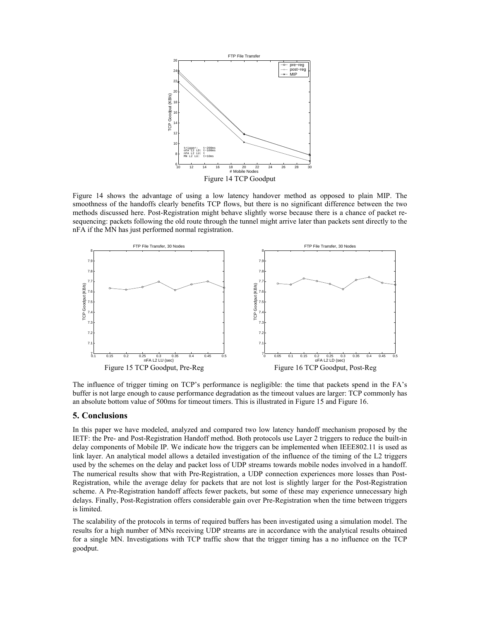

Figure 14 shows the advantage of using a low latency handover method as opposed to plain MIP. The smoothness of the handoffs clearly benefits TCP flows, but there is no significant difference between the two methods discussed here. Post-Registration might behave slightly worse because there is a chance of packet resequencing: packets following the old route through the tunnel might arrive later than packets sent directly to the nFA if the MN has just performed normal registration.



The influence of trigger timing on TCP's performance is negligible: the time that packets spend in the FA's buffer is not large enough to cause performance degradation as the timeout values are larger: TCP commonly has an absolute bottom value of 500ms for timeout timers. This is illustrated in Figure 15 and Figure 16.

#### **5. Conclusions**

In this paper we have modeled, analyzed and compared two low latency handoff mechanism proposed by the IETF: the Pre- and Post-Registration Handoff method. Both protocols use Layer 2 triggers to reduce the built-in delay components of Mobile IP. We indicate how the triggers can be implemented when IEEE802.11 is used as link layer. An analytical model allows a detailed investigation of the influence of the timing of the L2 triggers used by the schemes on the delay and packet loss of UDP streams towards mobile nodes involved in a handoff. The numerical results show that with Pre-Registration, a UDP connection experiences more losses than Post-Registration, while the average delay for packets that are not lost is slightly larger for the Post-Registration scheme. A Pre-Registration handoff affects fewer packets, but some of these may experience unnecessary high delays. Finally, Post-Registration offers considerable gain over Pre-Registration when the time between triggers is limited.

The scalability of the protocols in terms of required buffers has been investigated using a simulation model. The results for a high number of MNs receiving UDP streams are in accordance with the analytical results obtained for a single MN. Investigations with TCP traffic show that the trigger timing has a no influence on the TCP goodput.